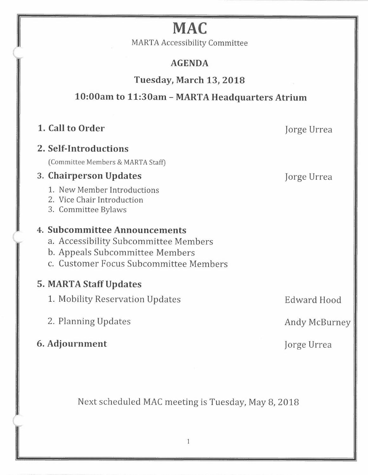# **MAC**

MARTA Accessibility Committee

## **AGENDA**

**Tuesday, March 13, 2018** 

## **10:00am to 11:30am - MARTA Headquarters Atrium**

## **1. Call to Order**  Jorge Urrea

(

## **2. Self-Introductions**

(Committee Members & MARTA Staff)

## 3. **Chairperson Updates** Jorge Urrea

1. New Member Introductions

2. Vice Chair Introduction

3. Committee Bylaws

## **4. Subcommittee Announcements**

a. Accessibility Subcommittee Members

b. Appeals Subcommittee Members

c. Customer Focus Subcommittee Members

## **5. MART** *A* **Staff Updates**

1. Mobility Reservation Updates Fermannian Communication Communication Communication Communication Communication

2. Planning Updates Andy McBurney

## **6. Adjournment** Jorge Urrea

Next scheduled MAC meeting is Tuesday, May 8, 2018

 $\mathbf{1}$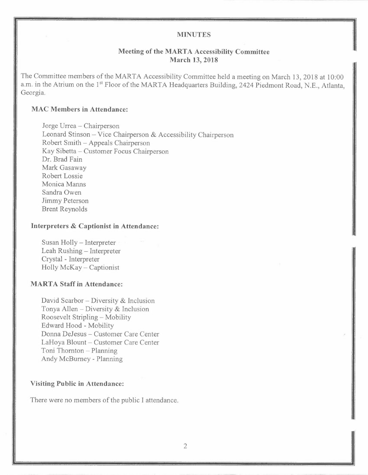#### **MINUTES**

#### **Meeting of the MART A Accessibility Committee March 13, 2018**

The Committee members of the MARTA Accessibility Committee held a meeting on March 13, 2018 at 10:00 a.m. in the Atrium on the 1<sup>st</sup> Floor of the MARTA Headquarters Building, 2424 Piedmont Road, N.E., Atlanta, Georgia.

#### **MAC Members in Attendance:**

Jorge Urrea - Chairperson Leonard Stinson - Vice Chairperson & Accessibility Chairperson Robert Smith-Appeals Chairperson Kay Sibetta - Customer Focus Chairperson Dr. Brad Fain Mark Gasaway Robert Lossie Monica Manns Sandra Owen Jimmy Peterson Brent Reynolds

#### **Interpreters & Captionist in Attendance:**

Susan Holly – Interpreter Leah Rushing - Interpreter Crystal - Interpreter Holly McKay - Captionist

#### **MARTA Staff in Attendance:**

David Scarbor - Diversity & Inclusion Tonya Allen - Diversity & Inclusion Roosevelt Stripling - Mobility Edward Hood - Mobility Donna DeJesus - Customer Care Center LaHoya Blount - Customer Care Center Toni Thornton - Planning Andy McBumey - Planning

#### **Visiting Public in Attendance:**

There were no members of the public I attendance.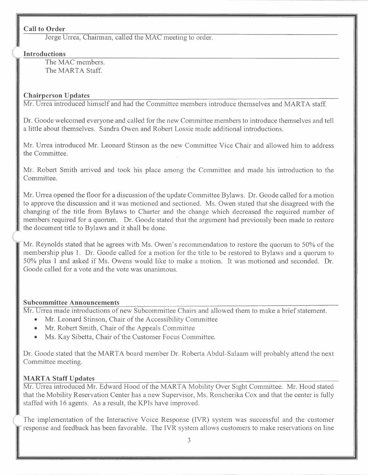#### **Call to Order**

Jorge Urrea, Chairman, called the MAC meeting to order.

#### **Introductions**

The MAC members. The MARTA Staff.

#### **Chairperson Updates**

Mr. Urrea introduced himself and had the Committee members introduce themselves and MARTA staff.

Dr. Goode welcomed everyone and called for the new Committee members to introduce themselves and tell a little about themselves. Sandra Owen and Robert Lossie made additional introductions.

Mr. Urrea introduced Mr. Leonard Stinson as the new Committee Vice Chair and allowed him to address the Committee.

Mr. Robert Smith arrived and took his place among the Committee and made his introduction to the Committee.

Mr. Urrea opened the floor for a discussion of the update Committee Bylaws. Dr. Goode called for a motion to approve the discussion and it was motioned and sectioned. Ms. Owen stated that she disagreed with the changing of the title from Bylaws to Charter and the change which decreased the required number of members required for a quorum. Dr. Goode stated that the argument had previously been made to restore the document title to Bylaws and it shall be done.

Mr. Reynolds stated that he agrees with Ms. Owen's recommendation to restore the quorum to 50% of the membership plus 1. Dr. Goode called for a motion for the title to be restored to Bylaws and a quorum to 50% plus 1 and asked if Ms. Owens would like to make a motion. It was motioned and seconded. Dr. Goode called for a vote and the vote was unanimous.

#### **Subcommittee Announcements**

Mr. Urrea made introductions of new Subcommittee Chairs and allowed them to make a brief statement.

- Mr. Leonard Stinson, Chair of the Accessibility Committee
- Mr. Robert Smith, Chair of the Appeals Committee
- Ms. Kay Sibetta, Chair of the Customer Focus Committee.

Dr. Goode stated that the MARTA board member Dr. Roberta Abdul-Salaam will probably attend the next Committee meeting.

### **MARTA Staff Updates**

Mr. Urrea introduced Mr. Edward Hood of the MARTA Mobility Over Sight Committee. Mr. Hood stated that the Mobility Reservation Center has a new Supervisor, Ms. Roncherika Cox and that the center is fully staffed with 16 agents. As a result, the KPis have improved.

The implementation of the Interactive Voice Response (IVR) system was successful and the customer response and feedback has been favorable. The IVR system allows customers to make reservations on line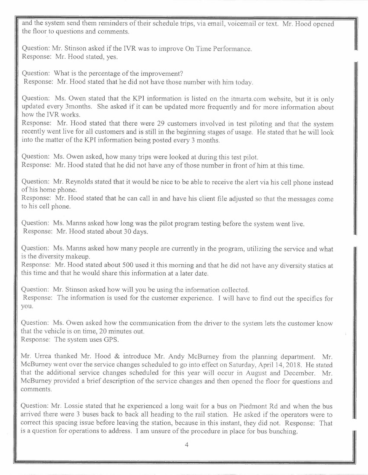and the system send them reminders of their schedule trips, via email, voicemail or text. Mr. Hood opened the floor to questions and comments.

Question: Mr. Stinson asked if the IVR was to improve On Time Performance. Response: Mr. Hood stated, yes.

Question: What is the percentage of the improvement? Response: Mr. Hood stated that he did not have those number with him today.

Question: Ms. Owen stated that the KPI information is listed on the itmarta.com website, but it is only updated every 3months. She asked if it can be updated more frequently and for more information about how the IVR works.

Response: Mr. Hood stated that there were 29 customers involved in test piloting and that the system recently went live for all customers and is still in the beginning stages of usage. He stated that he will look into the matter of the KPI information being posted every 3 months.

Question: Ms. Owen asked, how many trips were looked at during this test pilot. Response: Mr. Hood stated that he did not have any of those number in front of him at this time.

Question: Mr. Reynolds stated that it would be nice to be able to receive the alert via his cell phone instead of his home phone.

Response: Mr. Hood stated that he can call in and have his client file adjusted so that the messages come to his cell phone.

Question: Ms. Manns asked how Jong was the pilot program testing before the system went live. Response: Mr. Hood stated about 30 days.

Question: Ms. Manns asked how many people are currently in the program, utilizing the service and what is the diversity makeup.

Response: Mr. Hood stated about 500 used it this morning and that he did not have any diversity statics at this time and that he would share this information at a later date.

Question: Mr. Stinson asked how will you be using the information collected. Response: The information is used for the customer experience. I will have to find out the specifics for you.

Question: Ms. Owen asked how the communication from the driver to the system lets the customer know that the vehicle is on time, 20 minutes out. Response: The system uses GPS.

Mr. Urrea thanked Mr. Hood & introduce Mr. Andy McBurney from the planning department. Mr. McBurney went over the service changes scheduled to go into effect on Saturday, April 14, 2018. He stated that the additional service changes scheduled for this year will occur in August and December. Mr. McBumey provided a brief description of the service changes and then opened the floor for questions and comments.

Question: Mr. Lossie stated that he experienced a Jong wait for a bus on Piedmont Rd and when the bus arrived there were 3 buses back to back all heading to the rail station. He asked if the operators were to correct this spacing issue before leaving the station, because in this instant, they did not. Response: That is a question for operations to address. I am unsure of the procedure in place for bus bunching.